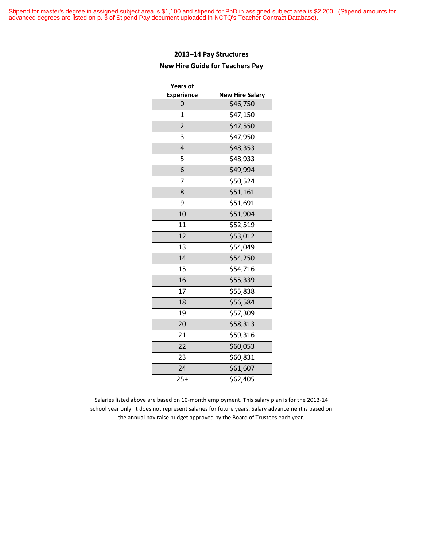Stipend for master's degree in assigned subject area is \$1,100 and stipend for PhD in assigned subject area is \$2,200. (Stipend amounts for advanced degrees are listed on p. 3 of Stipend Pay document uploaded in NCTQ's Teacher Contract Database).

#### **2013–14 Pay Structures**

#### **New Hire Guide for Teachers Pay**

| <b>Years of</b>   |                        |
|-------------------|------------------------|
| <b>Experience</b> | <b>New Hire Salary</b> |
| 0                 | \$46,750               |
| $\overline{1}$    | \$47,150               |
| 2                 | \$47,550               |
| 3                 | \$47,950               |
| 4                 | \$48,353               |
| 5                 | \$48,933               |
| 6                 | \$49,994               |
| 7                 | \$50,524               |
| 8                 | \$51,161               |
| 9                 | \$51,691               |
| 10                | \$51,904               |
| 11                | \$52,519               |
| 12                | \$53,012               |
| 13                | \$54,049               |
| 14                | \$54,250               |
| 15                | \$54,716               |
| 16                | \$55,339               |
| 17                | \$55,838               |
| 18                | \$56,584               |
| 19                | \$57,309               |
| 20                | \$58,313               |
| 21                | \$59,316               |
| 22                | \$60,053               |
| 23                | \$60,831               |
| 24                | \$61,607               |
| $25+$             | \$62,405               |

Salaries listed above are based on 10-month employment. This salary plan is for the 2013-14 school year only. It does not represent salaries for future years. Salary advancement is based on the annual pay raise budget approved by the Board of Trustees each year.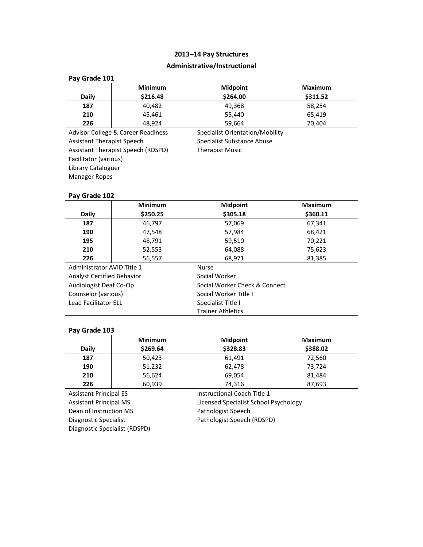## **Administrative/Instructional**

| Pay Grade 101                     |                                    |                                 |                |
|-----------------------------------|------------------------------------|---------------------------------|----------------|
|                                   | <b>Minimum</b>                     | <b>Midpoint</b>                 | <b>Maximum</b> |
| <b>Daily</b>                      | \$216.48                           | \$264.00                        | \$311.52       |
| 187                               | 40,482                             | 49,368                          | 58,254         |
| 210                               | 45.461                             | 55,440                          | 65,419         |
| 226                               | 48,924                             | 59,664                          | 70,404         |
|                                   | Advisor College & Career Readiness | Specialist Orientation/Mobility |                |
| <b>Assistant Therapist Speech</b> |                                    | Specialist Substance Abuse      |                |
|                                   | Assistant Therapist Speech (RDSPD) | <b>Therapist Music</b>          |                |
| Facilitator (various)             |                                    |                                 |                |
| Library Cataloguer                |                                    |                                 |                |
| <b>Manager Ropes</b>              |                                    |                                 |                |

## **Pay Grade 102**

|                                   | <b>Minimum</b> | <b>Midpoint</b>               | <b>Maximum</b> |
|-----------------------------------|----------------|-------------------------------|----------------|
| <b>Daily</b>                      | \$250.25       | \$305.18                      | \$360.11       |
| 187                               | 46,797         | 57,069                        | 67,341         |
| 190                               | 47,548         | 57,984                        | 68,421         |
| 195                               | 48,791         | 59,510                        | 70,221         |
| 210                               | 52,553         | 64,088                        | 75,623         |
| 226                               | 56,557         | 68,971                        | 81,385         |
| Administrator AVID Title 1        |                | <b>Nurse</b>                  |                |
| <b>Analyst Certified Behavior</b> |                | Social Worker                 |                |
| Audiologist Deaf Co-Op            |                | Social Worker Check & Connect |                |
| Counselor (various)               |                | Social Worker Title I         |                |
| <b>Lead Facilitator ELL</b>       |                | Specialist Title I            |                |
|                                   |                | <b>Trainer Athletics</b>      |                |

|                               | <b>Minimum</b> | <b>Midpoint</b>                       | <b>Maximum</b> |
|-------------------------------|----------------|---------------------------------------|----------------|
| Daily                         | \$269.64       | \$328.83                              | \$388.02       |
| 187                           | 50,423         | 61,491                                | 72,560         |
| 190                           | 51,232         | 62,478                                | 73,724         |
| 210                           | 56,624         | 69,054                                | 81,484         |
| 226                           | 60,939         | 74,316                                | 87,693         |
| <b>Assistant Principal ES</b> |                | Instructional Coach Title 1           |                |
| <b>Assistant Principal MS</b> |                | Licensed Specialist School Psychology |                |
| Dean of Instruction MS        |                | Pathologist Speech                    |                |
| Diagnostic Specialist         |                | Pathologist Speech (RDSPD)            |                |
| Diagnostic Specialist (RDSPD) |                |                                       |                |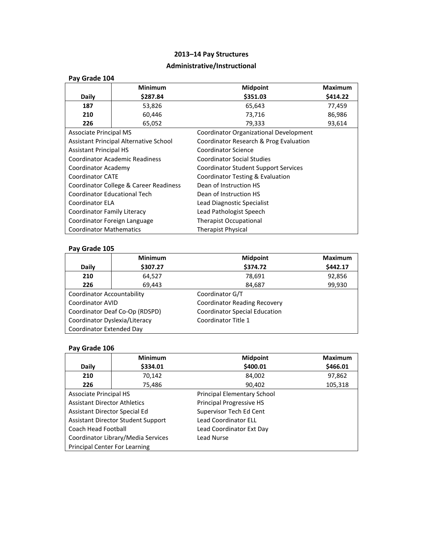## **Administrative/Instructional**

| Pay Grade 104                       |                                        |                                        |                |
|-------------------------------------|----------------------------------------|----------------------------------------|----------------|
|                                     | <b>Minimum</b>                         | <b>Midpoint</b>                        | <b>Maximum</b> |
| <b>Daily</b>                        | \$287.84                               | \$351.03<br>\$414.22                   |                |
| 187                                 | 53,826                                 | 65,643                                 | 77,459         |
| 210                                 | 60,446                                 | 73,716                                 | 86,986         |
| 226                                 | 65,052                                 | 79,333                                 | 93,614         |
| <b>Associate Principal MS</b>       |                                        | Coordinator Organizational Development |                |
|                                     | Assistant Principal Alternative School | Coordinator Research & Prog Evaluation |                |
| <b>Assistant Principal HS</b>       |                                        | Coordinator Science                    |                |
|                                     | <b>Coordinator Academic Readiness</b>  | <b>Coordinator Social Studies</b>      |                |
| Coordinator Academy                 |                                        | Coordinator Student Support Services   |                |
| <b>Coordinator CATE</b>             |                                        | Coordinator Testing & Evaluation       |                |
|                                     | Coordinator College & Career Readiness | Dean of Instruction HS                 |                |
| <b>Coordinator Educational Tech</b> |                                        | Dean of Instruction HS                 |                |
| Coordinator ELA                     |                                        | Lead Diagnostic Specialist             |                |
| Coordinator Family Literacy         |                                        | Lead Pathologist Speech                |                |
|                                     | Coordinator Foreign Language           | <b>Therapist Occupational</b>          |                |
| <b>Coordinator Mathematics</b>      |                                        | <b>Therapist Physical</b>              |                |

## **Pay Grade 105**

|                               | <b>Minimum</b>                 | <b>Midpoint</b>                      | <b>Maximum</b> |
|-------------------------------|--------------------------------|--------------------------------------|----------------|
| <b>Daily</b>                  | \$307.27                       | \$374.72                             | \$442.17       |
| 210                           | 64,527                         | 78,691                               | 92,856         |
| 226                           | 69,443                         | 84,687                               | 99,930         |
| Coordinator Accountability    |                                | Coordinator G/T                      |                |
| <b>Coordinator AVID</b>       |                                | <b>Coordinator Reading Recovery</b>  |                |
|                               | Coordinator Deaf Co-Op (RDSPD) | <b>Coordinator Special Education</b> |                |
| Coordinator Dyslexia/Literacy |                                | Coordinator Title 1                  |                |
| Coordinator Extended Day      |                                |                                      |                |

|                                      | <b>Minimum</b>                     | <b>Midpoint</b>             | <b>Maximum</b> |
|--------------------------------------|------------------------------------|-----------------------------|----------------|
| <b>Daily</b>                         | \$334.01                           | \$400.01                    | \$466.01       |
| 210                                  | 70,142                             | 84,002                      | 97,862         |
| 226                                  | 75,486                             | 90,402                      | 105,318        |
| <b>Associate Principal HS</b>        |                                    | Principal Elementary School |                |
| <b>Assistant Director Athletics</b>  |                                    | Principal Progressive HS    |                |
| Assistant Director Special Ed        |                                    | Supervisor Tech Ed Cent     |                |
|                                      | Assistant Director Student Support | <b>Lead Coordinator ELL</b> |                |
| Coach Head Football                  |                                    | Lead Coordinator Ext Day    |                |
|                                      | Coordinator Library/Media Services | Lead Nurse                  |                |
| <b>Principal Center For Learning</b> |                                    |                             |                |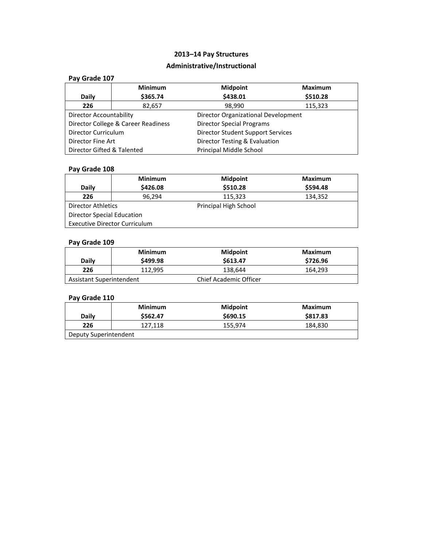## **Administrative/Instructional**

| Pay Grade 107              |                                     |                                     |                |
|----------------------------|-------------------------------------|-------------------------------------|----------------|
|                            | <b>Minimum</b>                      | <b>Midpoint</b>                     | <b>Maximum</b> |
| <b>Daily</b>               | \$365.74                            | \$438.01                            | \$510.28       |
| 226                        | 82,657                              | 98,990                              | 115,323        |
| Director Accountability    |                                     | Director Organizational Development |                |
|                            | Director College & Career Readiness | <b>Director Special Programs</b>    |                |
| Director Curriculum        |                                     | Director Student Support Services   |                |
| Director Fine Art          |                                     | Director Testing & Evaluation       |                |
| Director Gifted & Talented |                                     | Principal Middle School             |                |

## **Pay Grade 108**

|                                   | <b>Minimum</b>                       | <b>Midpoint</b>       | Maximum  |
|-----------------------------------|--------------------------------------|-----------------------|----------|
| Daily                             | \$426.08                             | \$510.28              | \$594.48 |
| 226                               | 96.294                               | 115,323               | 134,352  |
| <b>Director Athletics</b>         |                                      | Principal High School |          |
| <b>Director Special Education</b> |                                      |                       |          |
|                                   | <b>Executive Director Curriculum</b> |                       |          |

## **Pay Grade 109**

| <b>Daily</b>             | Minimum<br>\$499.98 | <b>Midpoint</b><br>\$613.47   | Maximum<br>\$726.96 |
|--------------------------|---------------------|-------------------------------|---------------------|
| 226                      | 112.995             | 138,644                       | 164,293             |
| Assistant Superintendent |                     | <b>Chief Academic Officer</b> |                     |

|                       | <b>Minimum</b> | <b>Midpoint</b> | Maximum  |
|-----------------------|----------------|-----------------|----------|
| <b>Daily</b>          | \$562.47       | \$690.15        | \$817.83 |
| 226                   | 127,118        | 155.974         | 184,830  |
| Deputy Superintendent |                |                 |          |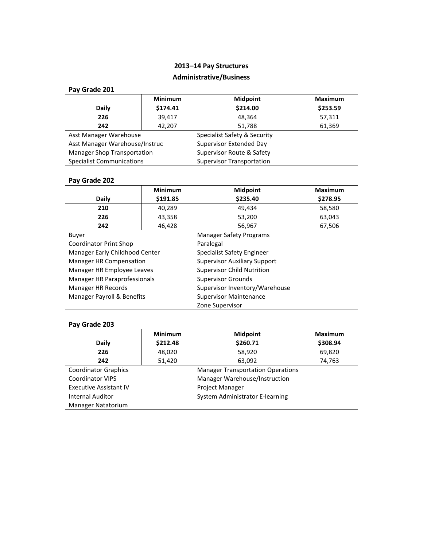## **Administrative/Business**

| Pay Grade 201 |  |
|---------------|--|
|---------------|--|

|                                    | <b>Minimum</b> | <b>Midpoint</b>                  | <b>Maximum</b> |
|------------------------------------|----------------|----------------------------------|----------------|
| <b>Daily</b>                       | \$174.41       | \$214.00                         | \$253.59       |
| 226                                | 39,417         | 48,364                           | 57,311         |
| 242                                | 42.207         | 51,788                           | 61,369         |
| Asst Manager Warehouse             |                | Specialist Safety & Security     |                |
| Asst Manager Warehouse/Instruc     |                | Supervisor Extended Day          |                |
| <b>Manager Shop Transportation</b> |                | Supervisor Route & Safety        |                |
| <b>Specialist Communications</b>   |                | <b>Supervisor Transportation</b> |                |

## **Pay Grade 202**

|                                                             | <b>Minimum</b>                                                 | <b>Midpoint</b>                   | <b>Maximum</b> |  |
|-------------------------------------------------------------|----------------------------------------------------------------|-----------------------------------|----------------|--|
| <b>Daily</b>                                                | \$191.85                                                       | \$235.40                          | \$278.95       |  |
| 210                                                         | 40,289                                                         | 49,434                            | 58,580         |  |
| 226                                                         | 43,358                                                         | 53,200                            | 63,043         |  |
| 242                                                         | 46,428                                                         | 56,967                            | 67,506         |  |
| Buyer                                                       |                                                                | <b>Manager Safety Programs</b>    |                |  |
| Coordinator Print Shop                                      |                                                                | Paralegal                         |                |  |
|                                                             | Manager Early Childhood Center<br>Specialist Safety Engineer   |                                   |                |  |
|                                                             | <b>Supervisor Auxiliary Support</b><br>Manager HR Compensation |                                   |                |  |
| Manager HR Employee Leaves                                  |                                                                | <b>Supervisor Child Nutrition</b> |                |  |
| Manager HR Paraprofessionals<br><b>Supervisor Grounds</b>   |                                                                |                                   |                |  |
| Manager HR Records                                          |                                                                | Supervisor Inventory/Warehouse    |                |  |
| Manager Payroll & Benefits<br><b>Supervisor Maintenance</b> |                                                                |                                   |                |  |
|                                                             |                                                                | Zone Supervisor                   |                |  |

|                               | <b>Minimum</b>                  | <b>Midpoint</b>                          | <b>Maximum</b> |
|-------------------------------|---------------------------------|------------------------------------------|----------------|
| <b>Daily</b>                  | \$212.48                        | \$260.71                                 | \$308.94       |
| 226                           | 48,020                          | 58,920                                   | 69,820         |
| 242                           | 51,420                          | 63,092                                   | 74,763         |
| <b>Coordinator Graphics</b>   |                                 | <b>Manager Transportation Operations</b> |                |
| <b>Coordinator VIPS</b>       | Manager Warehouse/Instruction   |                                          |                |
| <b>Executive Assistant IV</b> | <b>Project Manager</b>          |                                          |                |
| <b>Internal Auditor</b>       | System Administrator E-learning |                                          |                |
| <b>Manager Natatorium</b>     |                                 |                                          |                |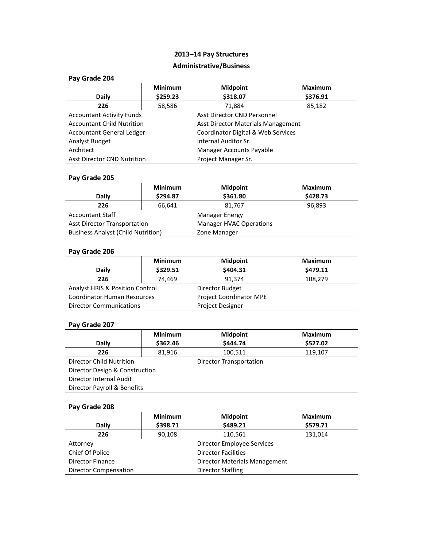## **Administrative/Business**

| Pay Grade 204                                             |                                                                 |                 |                |  |
|-----------------------------------------------------------|-----------------------------------------------------------------|-----------------|----------------|--|
|                                                           | <b>Minimum</b>                                                  | <b>Midpoint</b> | <b>Maximum</b> |  |
| Daily                                                     | \$259.23                                                        | \$318.07        | \$376.91       |  |
| 226                                                       | 58,586                                                          | 71,884          | 85,182         |  |
|                                                           | Asst Director CND Personnel<br><b>Accountant Activity Funds</b> |                 |                |  |
| <b>Accountant Child Nutrition</b>                         | Asst Director Materials Management                              |                 |                |  |
| <b>Accountant General Ledger</b>                          | Coordinator Digital & Web Services                              |                 |                |  |
| Analyst Budget<br>Internal Auditor Sr.                    |                                                                 |                 |                |  |
| Architect<br><b>Manager Accounts Payable</b>              |                                                                 |                 |                |  |
| <b>Asst Director CND Nutrition</b><br>Project Manager Sr. |                                                                 |                 |                |  |

## **Pay Grade 205**

|                                           | <b>Minimum</b> | <b>Midpoint</b>                | <b>Maximum</b> |
|-------------------------------------------|----------------|--------------------------------|----------------|
| Daily                                     | \$294.87       | \$361.80                       | \$428.73       |
| 226                                       | 66,641         | 81,767                         | 96.893         |
| <b>Accountant Staff</b>                   |                | Manager Energy                 |                |
| <b>Asst Director Transportation</b>       |                | <b>Manager HVAC Operations</b> |                |
| <b>Business Analyst (Child Nutrition)</b> |                | Zone Manager                   |                |

## **Pay Grade 206**

|                                            | <b>Minimum</b> | <b>Midpoint</b>         | <b>Maximum</b> |
|--------------------------------------------|----------------|-------------------------|----------------|
| Daily                                      | \$329.51       | \$404.31                | \$479.11       |
| 226                                        | 74.469         | 91.374                  | 108,279        |
| <b>Analyst HRIS &amp; Position Control</b> |                | Director Budget         |                |
| <b>Coordinator Human Resources</b>         |                | Project Coordinator MPE |                |
| <b>Director Communications</b>             |                | <b>Project Designer</b> |                |

## **Pay Grade 207**

|                                 | <b>Minimum</b> | <b>Midpoint</b>         | <b>Maximum</b> |  |
|---------------------------------|----------------|-------------------------|----------------|--|
| Daily                           | \$362.46       | \$444.74                | \$527.02       |  |
| 226                             | 81,916         | 100,511                 | 119,107        |  |
| <b>Director Child Nutrition</b> |                | Director Transportation |                |  |
| Director Design & Construction  |                |                         |                |  |
| Director Internal Audit         |                |                         |                |  |
| Director Payroll & Benefits     |                |                         |                |  |

|                         | <b>Minimum</b>             | <b>Midpoint</b>               | <b>Maximum</b> |
|-------------------------|----------------------------|-------------------------------|----------------|
| <b>Daily</b>            | \$398.71                   | \$489.21                      | \$579.71       |
| 226                     | 90,108                     | 110,561                       | 131,014        |
| Attorney                |                            | Director Employee Services    |                |
| Chief Of Police         | <b>Director Facilities</b> |                               |                |
| <b>Director Finance</b> |                            | Director Materials Management |                |
| Director Compensation   |                            | Director Staffing             |                |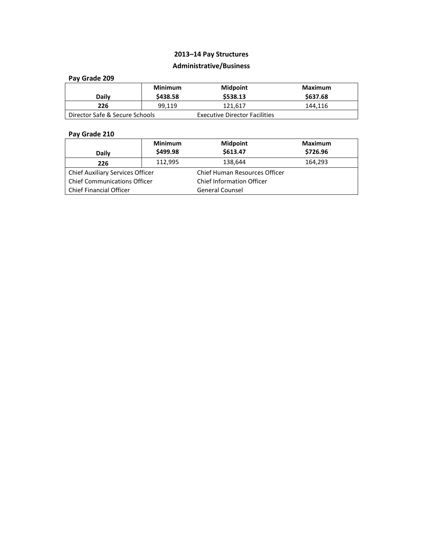## **Administrative/Business**

### **Pay Grade 209**

| <b>Daily</b>                   | Minimum<br>\$438.58 | <b>Midpoint</b><br>\$538.13          | Maximum<br>\$637.68 |
|--------------------------------|---------------------|--------------------------------------|---------------------|
| 226                            | 99.119              | 121.617                              | 144.116             |
| Director Safe & Secure Schools |                     | <b>Executive Director Facilities</b> |                     |

|                                         | <b>Minimum</b> | <b>Midpoint</b>                      | <b>Maximum</b> |
|-----------------------------------------|----------------|--------------------------------------|----------------|
| Daily                                   | \$499.98       | \$613.47                             | \$726.96       |
| 226                                     | 112,995        | 138,644                              | 164,293        |
| <b>Chief Auxiliary Services Officer</b> |                | <b>Chief Human Resources Officer</b> |                |
| <b>Chief Communications Officer</b>     |                | <b>Chief Information Officer</b>     |                |
| <b>Chief Financial Officer</b>          |                | <b>General Counsel</b>               |                |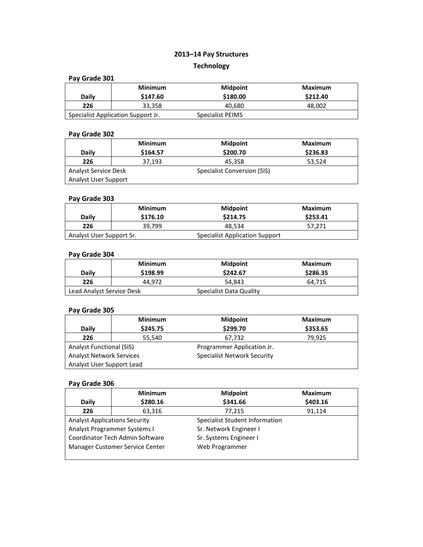# **2013–14 Pay Structures Technology**

### **Pay Grade 301**

| <b>Daily</b> | <b>Minimum</b><br>\$147.60         | <b>Midpoint</b><br>\$180.00 | Maximum<br>\$212.40 |
|--------------|------------------------------------|-----------------------------|---------------------|
| 226          | 33.358                             | 40.680                      | 48.002              |
|              | Specialist Application Support Jr. | Specialist PEIMS            |                     |

## **Pay Grade 302**

|                             | <b>Minimum</b> | <b>Midpoint</b>             | Maximum  |
|-----------------------------|----------------|-----------------------------|----------|
| Daily                       | \$164.57       | \$200.70                    | \$236.83 |
| 226                         | 37.193         | 45.358                      | 53,524   |
| <b>Analyst Service Desk</b> |                | Specialist Conversion (SIS) |          |
| Analyst User Support        |                |                             |          |

### **Pay Grade 303**

| <b>Daily</b>             | Minimum<br>\$176.10 | <b>Midpoint</b><br>\$214.75           | Maximum<br>\$253.41 |
|--------------------------|---------------------|---------------------------------------|---------------------|
| 226                      | 39.799              | 48.534                                | 57.271              |
| Analyst User Support Sr. |                     | <b>Specialist Application Support</b> |                     |

### **Pay Grade 304**

|                           | <b>Minimum</b> | <b>Midpoint</b>         | Maximum  |
|---------------------------|----------------|-------------------------|----------|
| <b>Daily</b>              | \$198.99       | \$242.67                | \$286.35 |
| 226                       | 44.972         | 54.843                  | 64.715   |
| Lead Analyst Service Desk |                | Specialist Data Quality |          |

## **Pay Grade 305**

|                                 | <b>Minimum</b> | <b>Midpoint</b>                    | <b>Maximum</b> |
|---------------------------------|----------------|------------------------------------|----------------|
| <b>Daily</b>                    | \$245.75       | \$299.70                           | \$353.65       |
| 226                             | 55,540         | 67,732                             | 79.925         |
| <b>Analyst Functional (SIS)</b> |                | Programmer Application Jr.         |                |
| <b>Analyst Network Services</b> |                | <b>Specialist Network Security</b> |                |
| Analyst User Support Lead       |                |                                    |                |

|                                      | <b>Minimum</b> | <b>Midpoint</b>                | <b>Maximum</b> |
|--------------------------------------|----------------|--------------------------------|----------------|
| Daily                                | \$280.16       | \$341.66                       | \$403.16       |
| 226                                  | 63,316         | 77,215                         | 91,114         |
| <b>Analyst Applications Security</b> |                | Specialist Student Information |                |
| Analyst Programmer Systems I         |                | Sr. Network Engineer I         |                |
| Coordinator Tech Admin Software      |                | Sr. Systems Engineer I         |                |
| Manager Customer Service Center      |                | Web Programmer                 |                |
|                                      |                |                                |                |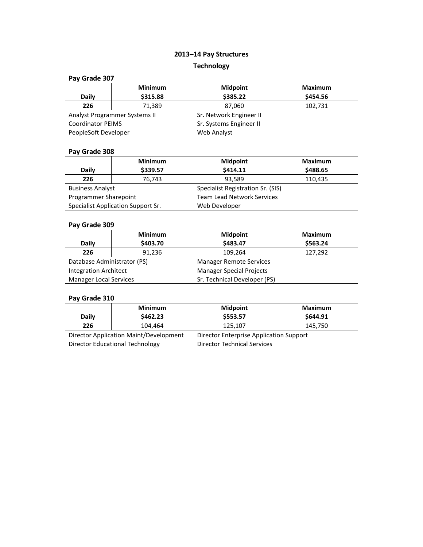# **2013–14 Pay Structures Technology**

### **Pay Grade 307**

|                               | <b>Minimum</b> | <b>Midpoint</b>         | <b>Maximum</b> |
|-------------------------------|----------------|-------------------------|----------------|
| Daily                         | \$315.88       | \$385.22                | \$454.56       |
| 226                           | 71,389         | 87,060                  | 102,731        |
| Analyst Programmer Systems II |                | Sr. Network Engineer II |                |
| <b>Coordinator PEIMS</b>      |                | Sr. Systems Engineer II |                |
| PeopleSoft Developer          |                | Web Analyst             |                |

## **Pay Grade 308**

|                                    | <b>Minimum</b> | <b>Midpoint</b>                   | <b>Maximum</b> |
|------------------------------------|----------------|-----------------------------------|----------------|
| Daily                              | \$339.57       | \$414.11                          | \$488.65       |
| 226                                | 76.743         | 93.589                            | 110,435        |
| <b>Business Analyst</b>            |                | Specialist Registration Sr. (SIS) |                |
| Programmer Sharepoint              |                | <b>Team Lead Network Services</b> |                |
| Specialist Application Support Sr. |                | Web Developer                     |                |

### **Pay Grade 309**

|                               | <b>Minimum</b> | <b>Midpoint</b>                 | <b>Maximum</b> |
|-------------------------------|----------------|---------------------------------|----------------|
| <b>Daily</b>                  | \$403.70       | \$483.47                        | \$563.24       |
| 226                           | 91,236         | 109,264                         | 127,292        |
| Database Administrator (PS)   |                | <b>Manager Remote Services</b>  |                |
| <b>Integration Architect</b>  |                | <b>Manager Special Projects</b> |                |
| <b>Manager Local Services</b> |                | Sr. Technical Developer (PS)    |                |

|                                        | <b>Minimum</b> | <b>Midpoint</b>                         | Maximum  |
|----------------------------------------|----------------|-----------------------------------------|----------|
| Daily                                  | \$462.23       | \$553.57                                | \$644.91 |
| 226                                    | 104.464        | 125.107                                 | 145,750  |
| Director Application Maint/Development |                | Director Enterprise Application Support |          |
| Director Educational Technology        |                | <b>Director Technical Services</b>      |          |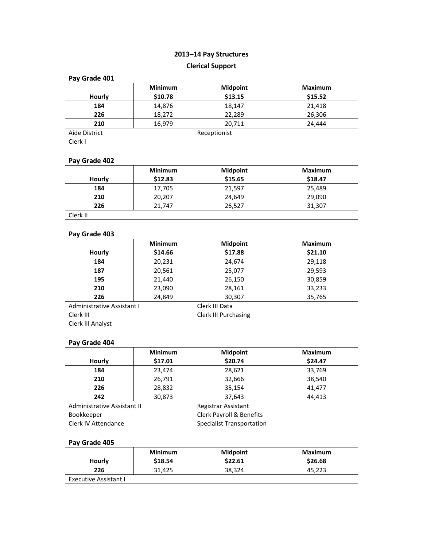## **Clerical Support**

| Pay Grade 401 |                |                 |                |
|---------------|----------------|-----------------|----------------|
|               | <b>Minimum</b> | <b>Midpoint</b> | <b>Maximum</b> |
| Hourly        | \$10.78        | \$13.15         | \$15.52        |
| 184           | 14,876         | 18,147          | 21,418         |
| 226           | 18,272         | 22,289          | 26,306         |
| 210           | 16,979         | 20,711          | 24.444         |
| Aide District |                | Receptionist    |                |
| Clerk I       |                |                 |                |

## **Pay Grade 402**

|          | <b>Minimum</b> | <b>Midpoint</b> | <b>Maximum</b> |
|----------|----------------|-----------------|----------------|
| Hourly   | \$12.83        | \$15.65         | \$18.47        |
| 184      | 17,705         | 21,597          | 25,489         |
| 210      | 20,207         | 24,649          | 29,090         |
| 226      | 21.747         | 26,527          | 31,307         |
| Clerk II |                |                 |                |

#### **Pay Grade 403**

|                                   | <b>Minimum</b> | <b>Midpoint</b> | <b>Maximum</b> |
|-----------------------------------|----------------|-----------------|----------------|
| Hourly                            | \$14.66        | \$17.88         | \$21.10        |
| 184                               | 20,231         | 24,674          | 29,118         |
| 187                               | 20,561         | 25,077          | 29,593         |
| 195                               | 21,440         | 26,150          | 30,859         |
| 210                               | 23,090         | 28,161          | 33,233         |
| 226                               | 24,849         | 30,307          | 35,765         |
| Administrative Assistant I        |                | Clerk III Data  |                |
| Clerk III<br>Clerk III Purchasing |                |                 |                |
| Clerk III Analyst                 |                |                 |                |

### **Pay Grade 404**

|                             | <b>Minimum</b> | <b>Midpoint</b>                     | <b>Maximum</b> |
|-----------------------------|----------------|-------------------------------------|----------------|
| Hourly                      | \$17.01        | \$20.74                             | \$24.47        |
| 184                         | 23,474         | 28,621                              | 33,769         |
| 210                         | 26,791         | 32,666                              | 38,540         |
| 226                         | 28,832         | 35,154                              | 41,477         |
| 242                         | 30,873         | 37,643                              | 44,413         |
| Administrative Assistant II |                | Registrar Assistant                 |                |
| Bookkeeper                  |                | <b>Clerk Payroll &amp; Benefits</b> |                |
| Clerk IV Attendance         |                | <b>Specialist Transportation</b>    |                |

| Hourly                | <b>Minimum</b><br>\$18.54 | <b>Midpoint</b><br>\$22.61 | Maximum<br>\$26.68 |
|-----------------------|---------------------------|----------------------------|--------------------|
| 226                   | 31.425                    | 38,324                     | 45,223             |
| Executive Assistant I |                           |                            |                    |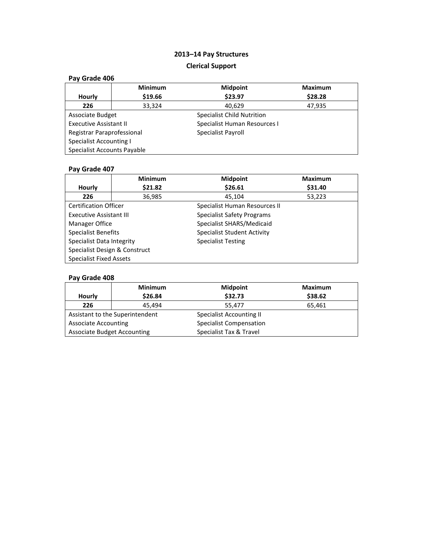# **2013–14 Pay Structures Clerical Support**

## **Pay Grade 406**

|                                | <b>Minimum</b> | <b>Midpoint</b>                   | <b>Maximum</b> |
|--------------------------------|----------------|-----------------------------------|----------------|
| Hourly                         | \$19.66        | \$23.97                           | \$28.28        |
| 226                            | 33,324         | 40,629                            | 47,935         |
| Associate Budget               |                | <b>Specialist Child Nutrition</b> |                |
| <b>Executive Assistant II</b>  |                | Specialist Human Resources I      |                |
| Registrar Paraprofessional     |                | Specialist Payroll                |                |
| <b>Specialist Accounting I</b> |                |                                   |                |
| Specialist Accounts Payable    |                |                                   |                |

## **Pay Grade 407**

|                                | <b>Minimum</b> | <b>Midpoint</b>                   | <b>Maximum</b> |
|--------------------------------|----------------|-----------------------------------|----------------|
| Hourly                         | \$21.82        | \$26.61                           | \$31.40        |
| 226                            | 36,985         | 45,104                            | 53,223         |
| <b>Certification Officer</b>   |                | Specialist Human Resources II     |                |
| <b>Executive Assistant III</b> |                | <b>Specialist Safety Programs</b> |                |
| Manager Office                 |                | Specialist SHARS/Medicaid         |                |
| <b>Specialist Benefits</b>     |                | Specialist Student Activity       |                |
| Specialist Data Integrity      |                | <b>Specialist Testing</b>         |                |
| Specialist Design & Construct  |                |                                   |                |
| <b>Specialist Fixed Assets</b> |                |                                   |                |

|                                    | <b>Minimum</b>                  | <b>Midpoint</b>                 | <b>Maximum</b> |
|------------------------------------|---------------------------------|---------------------------------|----------------|
| Hourly                             | \$26.84                         | \$32.73                         | \$38.62        |
| 226                                | 45.494                          | 55.477                          | 65,461         |
|                                    | Assistant to the Superintendent | <b>Specialist Accounting II</b> |                |
| <b>Associate Accounting</b>        |                                 | <b>Specialist Compensation</b>  |                |
| <b>Associate Budget Accounting</b> |                                 | Specialist Tax & Travel         |                |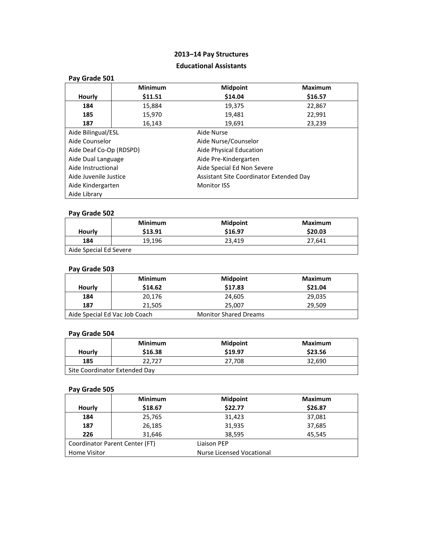## **Educational Assistants**

| Pay Grade 501                                                    |                                         |                       |                |  |
|------------------------------------------------------------------|-----------------------------------------|-----------------------|----------------|--|
|                                                                  | <b>Minimum</b>                          | <b>Midpoint</b>       | <b>Maximum</b> |  |
| Hourly                                                           | \$11.51                                 | \$14.04               | \$16.57        |  |
| 184                                                              | 15,884                                  | 19,375                | 22,867         |  |
| 185                                                              | 15,970                                  | 19,481                | 22,991         |  |
| 187                                                              | 16,143                                  | 19,691                | 23,239         |  |
| Aide Bilingual/ESL<br>Aide Nurse                                 |                                         |                       |                |  |
| Aide Counselor<br>Aide Nurse/Counselor                           |                                         |                       |                |  |
| Aide Deaf Co-Op (RDSPD)<br>Aide Physical Education               |                                         |                       |                |  |
| Aide Dual Language                                               |                                         | Aide Pre-Kindergarten |                |  |
| Aide Instructional<br>Aide Special Ed Non Severe                 |                                         |                       |                |  |
| Aide Juvenile Justice<br>Assistant Site Coordinator Extended Day |                                         |                       |                |  |
|                                                                  | Aide Kindergarten<br><b>Monitor ISS</b> |                       |                |  |
| Aide Library                                                     |                                         |                       |                |  |

## **Pay Grade 502**

|                        | <b>Minimum</b> | <b>Midpoint</b> | Maximum |
|------------------------|----------------|-----------------|---------|
| Hourly                 | \$13.91        | \$16.97         | \$20.03 |
| 184                    | 19.196         | 23.419          | 27.641  |
| Aide Special Ed Severe |                |                 |         |

## **Pay Grade 503**

|        | <b>Minimum</b>                | <b>Midpoint</b>              | Maximum |
|--------|-------------------------------|------------------------------|---------|
| Hourly | \$14.62                       | \$17.83                      | \$21.04 |
| 184    | 20.176                        | 24.605                       | 29.035  |
| 187    | 21,505                        | 25.007                       | 29.509  |
|        | Aide Special Ed Vac Job Coach | <b>Monitor Shared Dreams</b> |         |

## **Pay Grade 504**

|                               | <b>Minimum</b> | <b>Midpoint</b> | Maximum |  |
|-------------------------------|----------------|-----------------|---------|--|
| Hourly                        | \$16.38        | \$19.97         | \$23.56 |  |
| 185                           | 22.727         | 27.708          | 32.690  |  |
| Site Coordinator Extended Day |                |                 |         |  |

|              | <b>Minimum</b>                 | <b>Midpoint</b>           | <b>Maximum</b> |
|--------------|--------------------------------|---------------------------|----------------|
| Hourly       | \$18.67                        | \$22.77                   | \$26.87        |
| 184          | 25,765                         | 31,423                    | 37,081         |
| 187          | 26,185                         | 31,935                    | 37,685         |
| 226          | 31,646                         | 38,595                    | 45,545         |
|              | Coordinator Parent Center (FT) | Liaison PEP               |                |
| Home Visitor |                                | Nurse Licensed Vocational |                |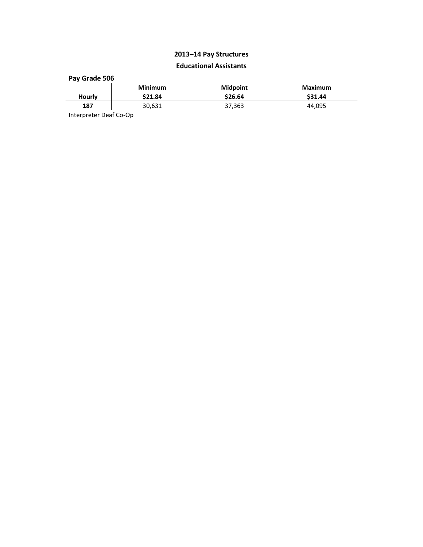## **Educational Assistants**

| Pay Grade 506          |                |          |                |  |
|------------------------|----------------|----------|----------------|--|
|                        | <b>Minimum</b> | Midpoint | <b>Maximum</b> |  |
| Hourly                 | \$21.84        | \$26.64  | \$31.44        |  |
| 187                    | 30,631         | 37,363   | 44.095         |  |
| Interpreter Deaf Co-Op |                |          |                |  |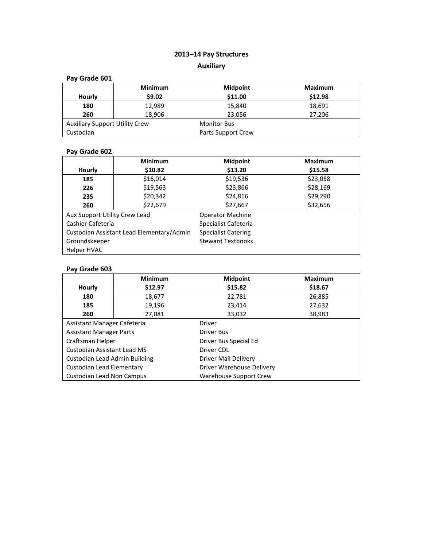## **2013–14 Pay Structures Auxiliary**

## **Pay Grade 601**

|                                       | <b>Minimum</b> | <b>Midpoint</b>    | <b>Maximum</b> |
|---------------------------------------|----------------|--------------------|----------------|
| <b>Hourly</b>                         | \$9.02         | \$11.00            | \$12.98        |
| 180                                   | 12,989         | 15,840             | 18,691         |
| 260                                   | 18,906         | 23,056             | 27,206         |
| <b>Auxiliary Support Utility Crew</b> |                | <b>Monitor Bus</b> |                |
| Custodian                             |                | Parts Support Crew |                |

## **Pay Grade 602**

|                                           | <b>Minimum</b> | <b>Midpoint</b>            | <b>Maximum</b> |
|-------------------------------------------|----------------|----------------------------|----------------|
| <b>Hourly</b>                             | \$10.82        | \$13.20                    | \$15.58        |
| 185                                       | \$16,014       | \$19,536                   | \$23,058       |
| 226                                       | \$19,563       | \$23,866                   | \$28,169       |
| 235                                       | \$20,342       | \$24,816                   | \$29,290       |
| 260                                       | \$22,679       | \$27,667                   | \$32,656       |
| Aux Support Utility Crew Lead             |                | <b>Operator Machine</b>    |                |
| Cashier Cafeteria                         |                | Specialist Cafeteria       |                |
| Custodian Assistant Lead Elementary/Admin |                | <b>Specialist Catering</b> |                |
| Groundskeeper                             |                | <b>Steward Textbooks</b>   |                |
| Helper HVAC                               |                |                            |                |

|                                | <b>Minimum</b> | <b>Midpoint</b>           | <b>Maximum</b> |  |
|--------------------------------|----------------|---------------------------|----------------|--|
| Hourly                         | \$12.97        | \$15.82                   | \$18.67        |  |
| 180                            | 18,677         | 22,781                    | 26,885         |  |
| 185                            | 19,196         | 23,414                    | 27,632         |  |
| 260                            | 27,081         | 33,032                    | 38,983         |  |
| Assistant Manager Cafeteria    |                | Driver                    |                |  |
| <b>Assistant Manager Parts</b> |                | Driver Bus                |                |  |
| Craftsman Helper               |                | Driver Bus Special Ed     |                |  |
| Custodian Assistant Lead MS    |                | Driver CDL                |                |  |
| Custodian Lead Admin Building  |                | Driver Mail Delivery      |                |  |
| Custodian Lead Elementary      |                | Driver Warehouse Delivery |                |  |
| Custodian Lead Non Campus      |                | Warehouse Support Crew    |                |  |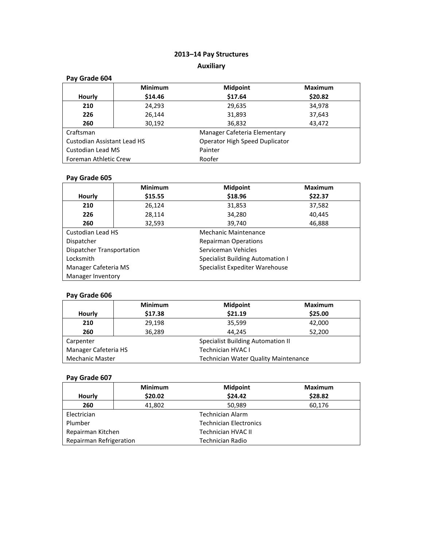## **Auxiliary**

| Pay Grade 604                             |                |                                |                |
|-------------------------------------------|----------------|--------------------------------|----------------|
|                                           | <b>Minimum</b> | <b>Midpoint</b>                | <b>Maximum</b> |
| Hourly                                    | \$14.46        | \$17.64                        | \$20.82        |
| 210                                       | 24,293         | 29,635                         | 34,978         |
| 226                                       | 26.144         | 31,893                         | 37,643         |
| 260                                       | 30,192         | 36,832                         | 43,472         |
| Manager Cafeteria Elementary<br>Craftsman |                |                                |                |
| <b>Custodian Assistant Lead HS</b>        |                | Operator High Speed Duplicator |                |
| Custodian Lead MS                         |                | Painter                        |                |
| Foreman Athletic Crew                     |                | Roofer                         |                |

## **Pay Grade 605**

|                           | <b>Minimum</b> | <b>Midpoint</b>                         | <b>Maximum</b> |
|---------------------------|----------------|-----------------------------------------|----------------|
| Hourly                    | \$15.55        | \$18.96                                 | \$22.37        |
| 210                       | 26,124         | 31,853                                  | 37,582         |
| 226                       | 28,114         | 34,280                                  | 40,445         |
| 260                       | 32,593         | 39,740                                  | 46,888         |
| <b>Custodian Lead HS</b>  |                | Mechanic Maintenance                    |                |
| Dispatcher                |                | <b>Repairman Operations</b>             |                |
| Dispatcher Transportation |                | Serviceman Vehicles                     |                |
| Locksmith                 |                | <b>Specialist Building Automation I</b> |                |
| Manager Cafeteria MS      |                | Specialist Expediter Warehouse          |                |
| Manager Inventory         |                |                                         |                |

## **Pay Grade 606**

|                                                  | <b>Minimum</b>                              | <b>Midpoint</b> | <b>Maximum</b> |
|--------------------------------------------------|---------------------------------------------|-----------------|----------------|
| Hourly                                           | \$17.38                                     | \$21.19         | \$25.00        |
| 210                                              | 29,198                                      | 35,599          | 42,000         |
| 260                                              | 36,289                                      | 44.245          | 52,200         |
| Carpenter                                        | <b>Specialist Building Automation II</b>    |                 |                |
| Manager Cafeteria HS<br><b>Technician HVAC I</b> |                                             |                 |                |
| <b>Mechanic Master</b>                           | <b>Technician Water Quality Maintenance</b> |                 |                |

|                                          | <b>Minimum</b> | <b>Midpoint</b>           | Maximum |
|------------------------------------------|----------------|---------------------------|---------|
| Hourly                                   | \$20.02        | \$24.42                   | \$28.82 |
| 260                                      | 41,802         | 50,989                    | 60,176  |
| <b>Technician Alarm</b><br>Electrician   |                |                           |         |
| Plumber<br><b>Technician Electronics</b> |                |                           |         |
| Repairman Kitchen                        |                | <b>Technician HVAC II</b> |         |
| Repairman Refrigeration                  |                | Technician Radio          |         |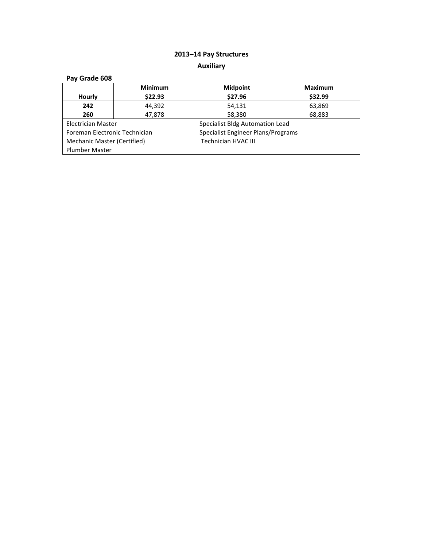# **2013–14 Pay Structures Auxiliary**

| Pay Grade 608                 |                |                                    |         |  |
|-------------------------------|----------------|------------------------------------|---------|--|
|                               | <b>Minimum</b> | <b>Midpoint</b>                    | Maximum |  |
| Hourly                        | \$22.93        | \$27.96                            | \$32.99 |  |
| 242                           | 44,392         | 54,131                             | 63,869  |  |
| 260                           | 47,878         | 58,380                             | 68,883  |  |
| Electrician Master            |                | Specialist Bldg Automation Lead    |         |  |
| Foreman Electronic Technician |                | Specialist Engineer Plans/Programs |         |  |
| Mechanic Master (Certified)   |                | Technician HVAC III                |         |  |
| <b>Plumber Master</b>         |                |                                    |         |  |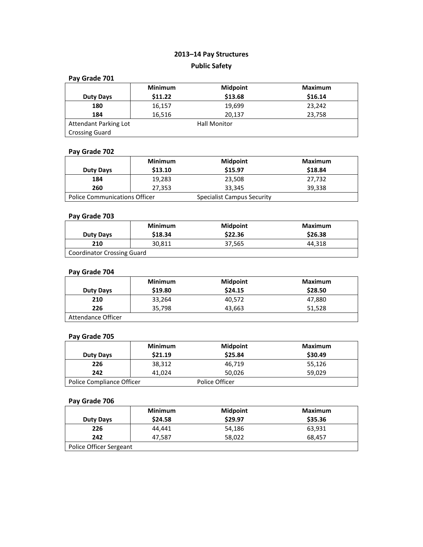# **2013–14 Pay Structures Public Safety**

| Pay Grade 701                |                |                     |                |  |
|------------------------------|----------------|---------------------|----------------|--|
|                              | <b>Minimum</b> | <b>Midpoint</b>     | <b>Maximum</b> |  |
| <b>Duty Days</b>             | \$11.22        | \$13.68             | \$16.14        |  |
| 180                          | 16,157         | 19,699              | 23,242         |  |
| 184                          | 16,516         | 20,137              | 23,758         |  |
| <b>Attendant Parking Lot</b> |                | <b>Hall Monitor</b> |                |  |
| <b>Crossing Guard</b>        |                |                     |                |  |

## **Pay Grade 702**

| <b>Duty Days</b>                     | <b>Minimum</b><br>\$13.10 | <b>Midpoint</b><br>\$15.97        | Maximum<br>\$18.84 |
|--------------------------------------|---------------------------|-----------------------------------|--------------------|
| 184                                  | 19,283                    | 23,508                            | 27,732             |
| 260                                  | 27,353                    | 33,345                            | 39,338             |
| <b>Police Communications Officer</b> |                           | <b>Specialist Campus Security</b> |                    |

#### **Pay Grade 703**

| <b>Duty Days</b>           | <b>Minimum</b><br>\$18.34 | <b>Midpoint</b><br>\$22.36 | Maximum<br>\$26.38 |  |
|----------------------------|---------------------------|----------------------------|--------------------|--|
| 210                        | 30.811                    | 37.565                     | 44.318             |  |
| Coordinator Crossing Guard |                           |                            |                    |  |

## **Pay Grade 704**

|                    | <b>Minimum</b> | <b>Midpoint</b> | Maximum |
|--------------------|----------------|-----------------|---------|
| <b>Duty Days</b>   | \$19.80        | \$24.15         | \$28.50 |
| 210                | 33,264         | 40.572          | 47,880  |
| 226                | 35,798         | 43,663          | 51,528  |
| Attendance Officer |                |                 |         |

#### **Pay Grade 705**

| <b>Duty Days</b>          | <b>Minimum</b><br>\$21.19 | <b>Midpoint</b><br>\$25.84 | <b>Maximum</b><br>\$30.49 |
|---------------------------|---------------------------|----------------------------|---------------------------|
| 226                       | 38,312                    | 46,719                     | 55,126                    |
| 242                       | 41.024                    | 50,026                     | 59,029                    |
| Police Compliance Officer |                           | Police Officer             |                           |

|                         | <b>Minimum</b> | <b>Midpoint</b> | <b>Maximum</b> |  |
|-------------------------|----------------|-----------------|----------------|--|
| <b>Duty Days</b>        | \$24.58        | \$29.97         | \$35.36        |  |
| 226                     | 44.441         | 54,186          | 63,931         |  |
| 242                     | 47,587         | 58.022          | 68.457         |  |
| Police Officer Sergeant |                |                 |                |  |